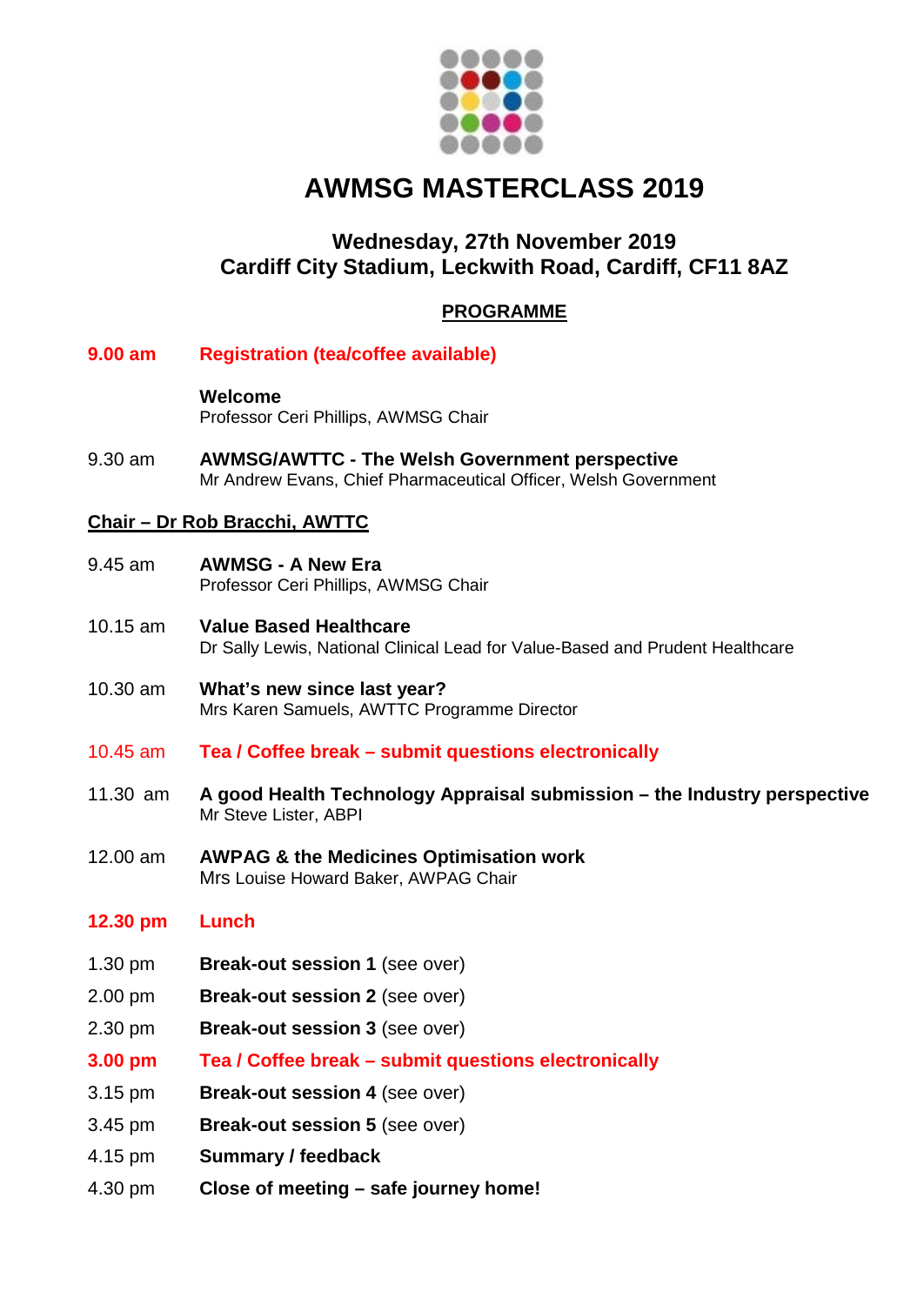

# **AWMSG MASTERCLASS 2019**

# **Wednesday, 27th November 2019 Cardiff City Stadium, Leckwith Road, Cardiff, CF11 8AZ**

## **PROGRAMME**

**9.00 am Registration (tea/coffee available)**

**Welcome** Professor Ceri Phillips, AWMSG Chair

9.30 am **AWMSG/AWTTC - The Welsh Government perspective** Mr Andrew Evans, Chief Pharmaceutical Officer, Welsh Government

#### **Chair – Dr Rob Bracchi, AWTTC**

- 9.45 am **AWMSG - A New Era** Professor Ceri Phillips, AWMSG Chair
- 10.15 am **Value Based Healthcare** Dr Sally Lewis, National Clinical Lead for Value-Based and Prudent Healthcare
- 10.30 am **What's new since last year?** Mrs Karen Samuels, AWTTC Programme Director
- 10.45 am **Tea / Coffee break – submit questions electronically**
- 11.30 am **A good Health Technology Appraisal submission – the Industry perspective** Mr Steve Lister, ABPI
- 12.00 am **AWPAG & the Medicines Optimisation work** Mrs Louise Howard Baker, AWPAG Chair

### **12.30 pm Lunch**

- 1.30 pm **Break-out session 1** (see over)
- 2.00 pm **Break-out session 2** (see over)
- 2.30 pm **Break-out session 3** (see over)
- **3.00 pm Tea / Coffee break – submit questions electronically**
- 3.15 pm **Break-out session 4** (see over)
- 3.45 pm **Break-out session 5** (see over)
- 4.15 pm **Summary / feedback**
- 4.30 pm **Close of meeting – safe journey home!**